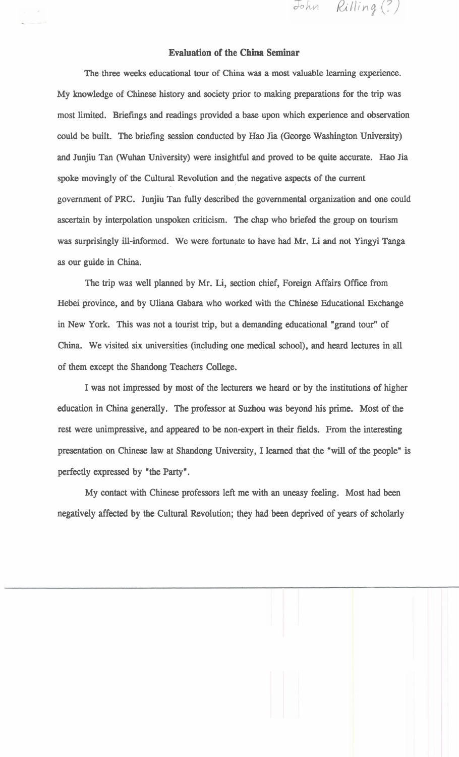## **Evaluation of the China Seminar**

John Rilling (?)

The three weeks educational tour of China was a most valuable learning experience. My knowledge of Chinese history and society prior to making preparations for the trip was most limited. Briefings and readings provided a base upon which experience and observation could be built. The briefing session conducted by Hao Jia (George Washington University) and Junjiu Tan (Wuhan University) were insightful and proved to be quite accurate. Hao Jia spoke movingly of the Cultural Revolution and the negative aspects of the current government of PRC. Junjiu Tan fully described the governmental organization and one could ascertain by interpolation unspoken criticism. The chap who briefed the group on tourism was surprisingly ill-informed. We were fortunate to have had **Mr.** Li and not Yingyi Tanga as our guide in China.

The trip was well planned by Mr. Li, section chief, Foreign Affairs Office from Hebei province, and by Uliana Gabara who worked with the Chinese Educational Exchange in New York. This was not a tourist trip, but a demanding educational "grand tour" of China. We visited six universities (including one medical school), and heard lectures in **all**  of them except the Shandong Teachers College.

I was not impressed by most of the lecturers we heard or by the institutions of higher education in China generally. The professor at Suzhou was beyond his prime. Most of the rest were unimpressive, and appeared to be non-expert in their fields. From the interesting presentation on Chinese law at Shandong University, I learned that the "will of the people" is perfectly expressed by "the Party".

My contact with Chinese professors left me with an uneasy feeling. Most had been negatively affected by the Cultural Revolution; they had been deprived of years of scholarly

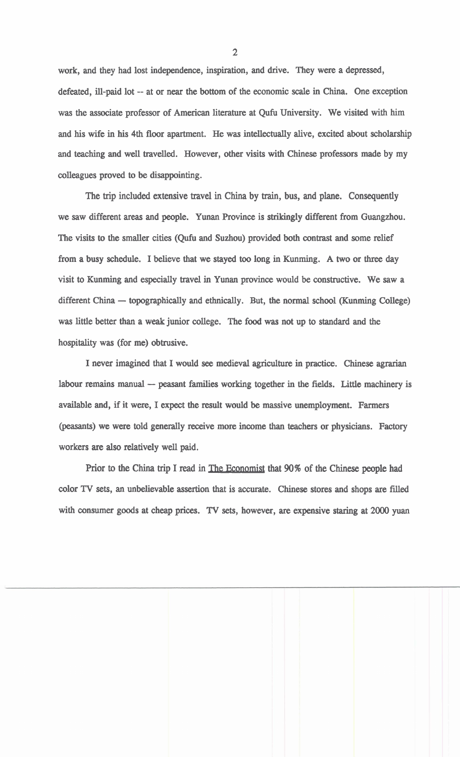work, and they had lost independence, inspiration, and drive. They were a depressed, defeated, ill-paid lot -- at or near the bottom of the economic scale in China. One exception was the associate professor of American literature at Qufu University. We visited with him and his wife in his 4th floor apartment. He was intellectually alive, excited about scholarship and teaching and well travelled. However, other visits with Chinese professors made by my colleagues proved to be disappointing.

The trip included extensive travel in China by train, bus, and plane. Consequently we saw different areas and people. Yunan Province is strikingly different from Guangzhou. The visits to the smaller cities (Qufu and Suzhou) provided both contrast and some relief from a busy schedule. I believe that we stayed **too** long in Kunming. A two or three day visit to Kunming and especially travel in Yunan province would be constructive. We saw a different China  $-$  topographically and ethnically. But, the normal school (Kunming College) was little better than a weak junior college. The food was not up to standard and the hospitality was (for me) obtrusive.

I never imagined that I would **see** medieval agriculture in practice. Chinese agrarian labour remains manual  $-$  peasant families working together in the fields. Little machinery is available and, if it were, I expect the result would be massive unemployment. Farmers (pasants) we were told generally receive more income than teachers or physicians. Factory workers are also relatively well paid.

Prior to the China trip I read in The Economist that 90% of the Chinese people had color **TV** sets, an unbelievable assertion that is accurate. Chinese stores and shops are filled with consumer goods at cheap prices. **TV sets,** however, are expensive staring at **2000** yuan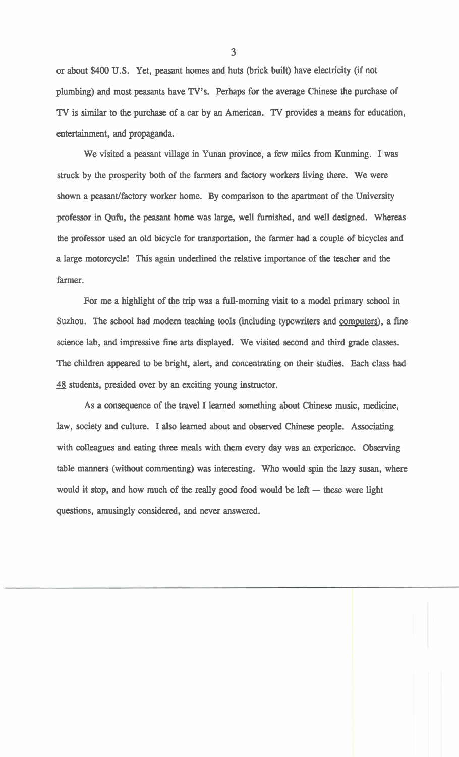or about \$400 **U.S.** Yet, peasant homes and huts (brick built) have electricity (if not plumbing) and most peasants have TV's. Perhaps for the average **Chinese** the purchase of **TV** is similar to the purchase of a car by an American. **TV** provides a means for education, entertainment, and propaganda.

We visited a peasant village in Yunan province, a few miles from Kunming. I was struck by the prosperity both of the farmers and factory workers living there. We were shown a peasant/factory worker home. By comparison to the apartment of the University professor in Qufu, the peasant home was large, well furnished, and well designed. Whereas the professor used an old bicycle for transportation, the farmer had a couple of bicycles and a large motorcycle! This again underlined the relative importance of the teacher and the farmer.

For me a highlight of the trip was a full-morning visit to a model primary school in Suzhou. The school had modern teaching tools (including typewriters and computers), a fine science lab, and impressive fine arts displayed. We visited second and third grade classes. The children appeared to be bright, alert, and concentrating on their studies. Each class had **4** students, presided over by an exciting young instructor.

As a consequence of the travel I learned something about **Chinese** music, medicine, law, society and culture. I also learned about and observed **Chinese** people. Associating with colleagues and eating three meals with them every day was an experience. Observing table manners (without commenting) was interesting. Who would spin the lazy susan, where would it stop, and how much of the really good food would be left  $-$  these were light questions, amusingly considered, and never answered.

**3**